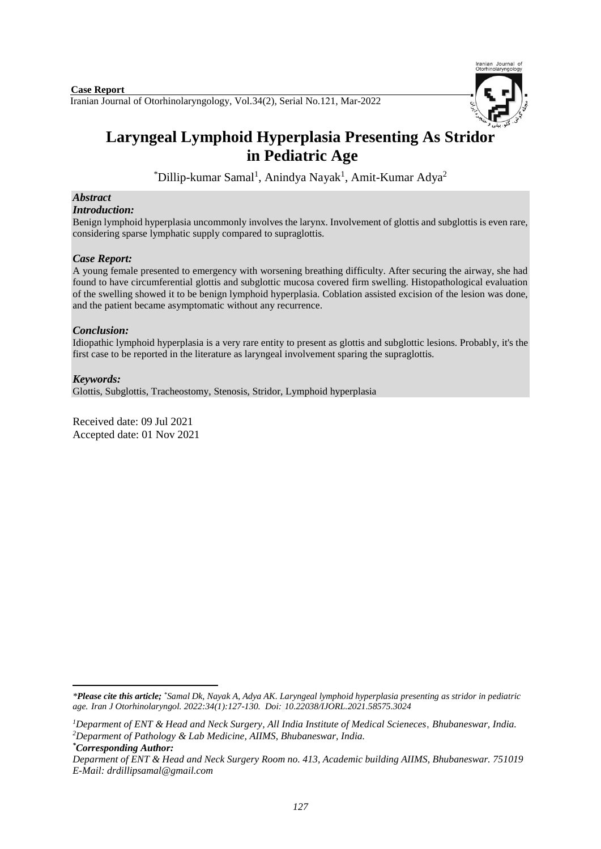Iranian Journal of Otorhinolaryngology, Vol.34(2), Serial No.121, Mar-2022 **Case Report**



# **Laryngeal Lymphoid Hyperplasia Presenting As Stridor in Pediatric Age**

\*Dillip-kumar Samal<sup>1</sup>, Anindya Nayak<sup>1</sup>, Amit-Kumar Adya<sup>2</sup>

# *Abstract*

#### *Introduction:*

Benign lymphoid hyperplasia uncommonly involves the larynx. Involvement of glottis and subglottis is even rare, considering sparse lymphatic supply compared to supraglottis.

### *Case Report:*

A young female presented to emergency with worsening breathing difficulty. After securing the airway, she had found to have circumferential glottis and subglottic mucosa covered firm swelling. Histopathological evaluation of the swelling showed it to be benign lymphoid hyperplasia. Coblation assisted excision of the lesion was done, and the patient became asymptomatic without any recurrence.

## *Conclusion:*

Idiopathic lymphoid hyperplasia is a very rare entity to present as glottis and subglottic lesions. Probably, it's the first case to be reported in the literature as laryngeal involvement sparing the supraglottis.

### *Keywords:*

Glottis, Subglottis, Tracheostomy, Stenosis, Stridor, Lymphoid hyperplasia

Received date: 09 Jul 2021 Accepted date: 01 Nov 2021

*\*Corresponding Author:*

1

*<sup>\*</sup>Please cite this article; \*Samal Dk, Nayak A, Adya AK. Laryngeal lymphoid hyperplasia presenting as stridor in pediatric age. [Iran J Otorhinolaryngol.](https://www.ncbi.nlm.nih.gov/pubmed/?term=Tri-layer+Tympanoplasty+as+a+New+Technique+in+High-risk+Tympanic+Membrane+Perforations) 2022:34(1):127-130. Doi: 10.22038/IJORL.2021.58575.3024*

*<sup>1</sup>Deparment of ENT & Head and Neck Surgery, All India Institute of Medical Scieneces*, *Bhubaneswar, India. <sup>2</sup>Deparment of Pathology & Lab Medicine, AIIMS, Bhubaneswar, India.*

*Deparment of ENT & Head and Neck Surgery Room no. 413, Academic building AIIMS, Bhubaneswar. 751019 E-Mail: drdillipsamal@gmail.com*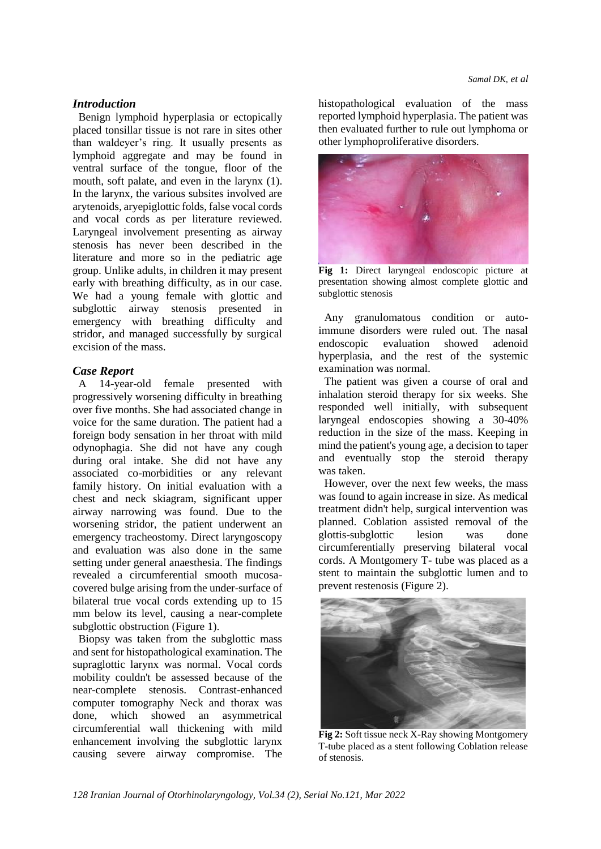#### *Introduction*

Benign lymphoid hyperplasia or ectopically placed tonsillar tissue is not rare in sites other than waldeyer's ring. It usually presents as lymphoid aggregate and may be found in ventral surface of the tongue, floor of the mouth, soft palate, and even in the larynx (1). In the larynx, the various subsites involved are arytenoids, aryepiglottic folds, false vocal cords and vocal cords as per literature reviewed. Laryngeal involvement presenting as airway stenosis has never been described in the literature and more so in the pediatric age group. Unlike adults, in children it may present early with breathing difficulty, as in our case. We had a young female with glottic and subglottic airway stenosis presented in emergency with breathing difficulty and stridor, and managed successfully by surgical excision of the mass.

#### *Case Report*

A 14-year-old female presented with progressively worsening difficulty in breathing over five months. She had associated change in voice for the same duration. The patient had a foreign body sensation in her throat with mild odynophagia. She did not have any cough during oral intake. She did not have any associated co-morbidities or any relevant family history. On initial evaluation with a chest and neck skiagram, significant upper airway narrowing was found. Due to the worsening stridor, the patient underwent an emergency tracheostomy. Direct laryngoscopy and evaluation was also done in the same setting under general anaesthesia. The findings revealed a circumferential smooth mucosacovered bulge arising from the under-surface of bilateral true vocal cords extending up to 15 mm below its level, causing a near-complete subglottic obstruction (Figure 1).

Biopsy was taken from the subglottic mass and sent for histopathological examination. The supraglottic larynx was normal. Vocal cords mobility couldn't be assessed because of the near-complete stenosis. Contrast-enhanced computer tomography Neck and thorax was done, which showed an asymmetrical circumferential wall thickening with mild enhancement involving the subglottic larynx causing severe airway compromise. The histopathological evaluation of the mass reported lymphoid hyperplasia. The patient was then evaluated further to rule out lymphoma or other lymphoproliferative disorders.



**Fig 1:** Direct laryngeal endoscopic picture at presentation showing almost complete glottic and subglottic stenosis

Any granulomatous condition or autoimmune disorders were ruled out. The nasal endoscopic evaluation showed adenoid hyperplasia, and the rest of the systemic examination was normal.

The patient was given a course of oral and inhalation steroid therapy for six weeks. She responded well initially, with subsequent laryngeal endoscopies showing a 30-40% reduction in the size of the mass. Keeping in mind the patient's young age, a decision to taper and eventually stop the steroid therapy was taken.

However, over the next few weeks, the mass was found to again increase in size. As medical treatment didn't help, surgical intervention was planned. Coblation assisted removal of the glottis-subglottic lesion was done circumferentially preserving bilateral vocal cords. A Montgomery T- tube was placed as a stent to maintain the subglottic lumen and to prevent restenosis (Figure 2).



**Fig 2:** Soft tissue neck X-Ray showing Montgomery T-tube placed as a stent following Coblation release of stenosis.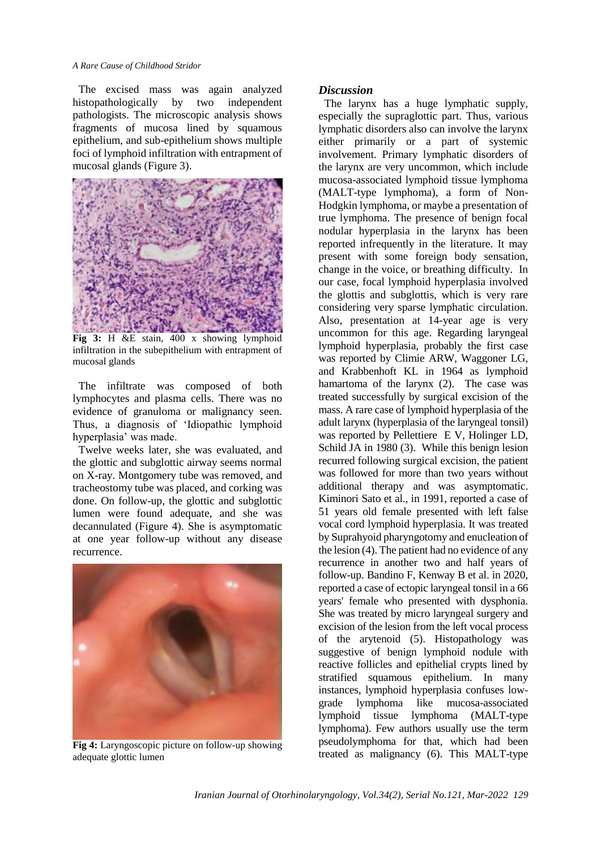#### *A Rare Cause of Childhood Stridor*

The excised mass was again analyzed histopathologically by two independent pathologists. The microscopic analysis shows fragments of mucosa lined by squamous epithelium, and sub-epithelium shows multiple foci of lymphoid infiltration with entrapment of mucosal glands (Figure 3).



**Fig 3:** H &E stain, 400 x showing lymphoid infiltration in the subepithelium with entrapment of mucosal glands

The infiltrate was composed of both lymphocytes and plasma cells. There was no evidence of granuloma or malignancy seen. Thus, a diagnosis of 'Idiopathic lymphoid hyperplasia' was made.

Twelve weeks later, she was evaluated, and the glottic and subglottic airway seems normal on X-ray. Montgomery tube was removed, and tracheostomy tube was placed, and corking was done. On follow-up, the glottic and subglottic lumen were found adequate, and she was decannulated (Figure 4). She is asymptomatic at one year follow-up without any disease recurrence.



**Fig 4:** Laryngoscopic picture on follow-up showing adequate glottic lumen

#### *Discussion*

The larynx has a huge lymphatic supply, especially the supraglottic part. Thus, various lymphatic disorders also can involve the larynx either primarily or a part of systemic involvement. Primary lymphatic disorders of the larynx are very uncommon, which include mucosa-associated lymphoid tissue lymphoma (MALT-type lymphoma), a form of Non-Hodgkin lymphoma, or maybe a presentation of true lymphoma. The presence of benign focal nodular hyperplasia in the larynx has been reported infrequently in the literature. It may present with some foreign body sensation, change in the voice, or breathing difficulty. In our case, focal lymphoid hyperplasia involved the glottis and subglottis, which is very rare considering very sparse lymphatic circulation. Also, presentation at 14-year age is very uncommon for this age. Regarding laryngeal lymphoid hyperplasia, probably the first case was reported by Climie ARW, Waggoner LG, and Krabbenhoft KL in 1964 as lymphoid hamartoma of the larynx (2). The case was treated successfully by surgical excision of the mass. A rare case of lymphoid hyperplasia of the adult larynx (hyperplasia of the laryngeal tonsil) was reported by Pellettiere E V, Holinger LD, Schild JA in 1980 (3). While this benign lesion recurred following surgical excision, the patient was followed for more than two years without additional therapy and was asymptomatic. Kiminori Sato et al., in 1991, reported a case of 51 years old female presented with left false vocal cord lymphoid hyperplasia. It was treated by Suprahyoid pharyngotomy and enucleation of the lesion (4). The patient had no evidence of any recurrence in another two and half years of follow-up. Bandino F, Kenway B et al. in 2020, reported a case of ectopic laryngeal tonsil in a 66 years' female who presented with dysphonia. She was treated by micro laryngeal surgery and excision of the lesion from the left vocal process of the arytenoid (5). Histopathology was suggestive of benign lymphoid nodule with reactive follicles and epithelial crypts lined by stratified squamous epithelium. In many instances, lymphoid hyperplasia confuses lowgrade lymphoma like mucosa-associated lymphoid tissue lymphoma (MALT-type lymphoma). Few authors usually use the term pseudolymphoma for that, which had been treated as malignancy (6). This MALT-type